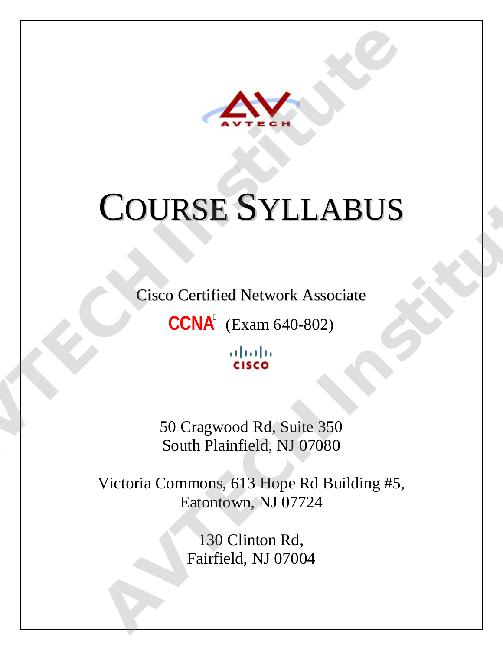

# COURSE SYLLABUS **COURSE SYLLABUS**<br>Cisco Certified Network Associate<br>CONA<sup>®</sup> (Exam 640-802)<br>CONA® (Exam 640-802)<br>Fisco<br>South Plainfield, NJ 07080<br>Victoria Commong 613 Home Rd Building #5 **COURSE SYLLABUS**<br>
Cisco Certified Network Associate<br>
CCNA<sup>°</sup> (Exam 640-802)<br>
digite<br>
sisce<br>
50 Cragwood Rd, Suite 350<br>
South Plainfield, NJ 07080<br>
Victoria Commons, 613 Hope Rd Building #5,<br>
Eatontown, NJ 07724<br>
130 Clint

Cisco Certified Network Associate

 $CCNA^{\circ}$  (Exam 640-802)

50 Cragwood Rd, Suite 350 South Plainfield, NJ 07080

Victoria Commons, 613 Hope Rd Building #5, Eatontown, NJ 07724

> 130 Clinton Rd, Fairfield, NJ 07004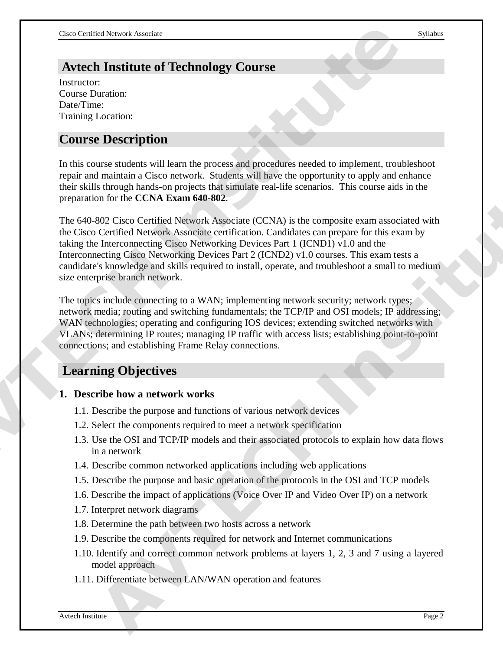# **Avtech Institute of Technology Course**

Instructor: Course Duration: Date/Time: Training Location:

# **Course Description**

In this course students will learn the process and procedures needed to implement, troubleshoot repair and maintain a Cisco network. Students will have the opportunity to apply and enhance their skills through hands-on projects that simulate real-life scenarios. This course aids in the preparation for the **CCNA Exam 640-802**.

The 640-802 Cisco Certified Network Associate (CCNA) is the composite exam associated with the Cisco Certified Network Associate certification. Candidates can prepare for this exam by taking the Interconnecting Cisco Networking Devices Part 1 (ICND1) v1.0 and the Interconnecting Cisco Networking Devices Part 2 (ICND2) v1.0 courses. This exam tests a candidate's knowledge and skills required to install, operate, and troubleshoot a small to medium size enterprise branch network. **Avec Controller Controllering Course**<br> **Avec Converted System**<br>
Institute of Technology Course<br>
Institute Converted Systems<br>
Training Location:<br>
Training Location:<br>
Training Location:<br>
Training Location:<br>
Training Locatio Simple that we have been the transmisse teacher and the securities. This course also in the CCNA Exam 640-802.<br>
AVE Circle CCNA Exam 640-802.<br>
AVE CENT Interconnecting Classo Networking Devices Part 1 (CCND1) v1.0 and the<br>

The topics include connecting to a WAN; implementing network security; network types; network media; routing and switching fundamentals; the TCP/IP and OSI models; IP addressing; WAN technologies; operating and configuring IOS devices; extending switched networks with VLANs; determining IP routes; managing IP traffic with access lists; establishing point-to-point connections; and establishing Frame Relay connections.

# **Learning Objectives**

#### **1. Describe how a network works**

- 1.1. Describe the purpose and functions of various network devices
- 1.2. Select the components required to meet a network specification
- 1.3. Use the OSI and TCP/IP models and their associated protocols to explain how data flows in a network
- 1.4. Describe common networked applications including web applications
- 1.5. Describe the purpose and basic operation of the protocols in the OSI and TCP models
- 1.6. Describe the impact of applications (Voice Over IP and Video Over IP) on a network
- 1.7. Interpret network diagrams
- 1.8. Determine the path between two hosts across a network
- 1.9. Describe the components required for network and Internet communications
- 1.10. Identify and correct common network problems at layers 1, 2, 3 and 7 using a layered model approach
- 1.11. Differentiate between LAN/WAN operation and features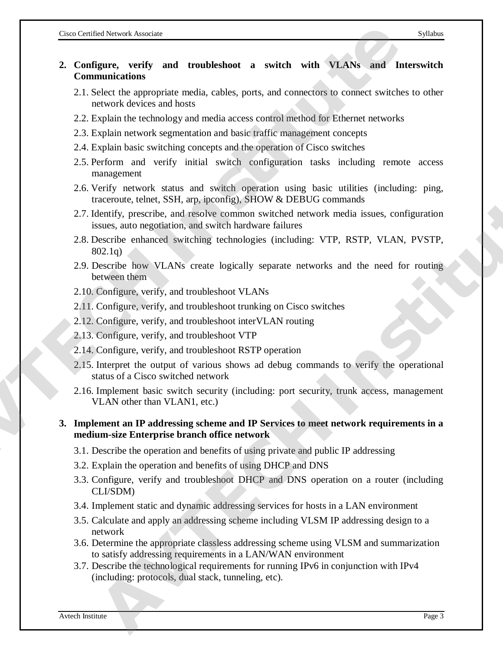# **2. Configure, verify and troubleshoot a switch with VLANs and Interswitch Communications 2.** Configure, verify and troubleshoot a switch with VLANs and International Communications<br>
2.1. Select the appropriate media, cables, ports, and connectors to connect switches to<br>
2.1. Select the appropriate media, cabl

- 2.1. Select the appropriate media, cables, ports, and connectors to connect switches to other network devices and hosts
- 2.2. Explain the technology and media access control method for Ethernet networks
- 2.3. Explain network segmentation and basic traffic management concepts
- 2.4. Explain basic switching concepts and the operation of Cisco switches
- 2.5. Perform and verify initial switch configuration tasks including remote access management
- 2.6. Verify network status and switch operation using basic utilities (including: ping, traceroute, telnet, SSH, arp, ipconfig), SHOW & DEBUG commands
- 2.7. Identify, prescribe, and resolve common switched network media issues, configuration issues, auto negotiation, and switch hardware failures
- 2.8. Describe enhanced switching technologies (including: VTP, RSTP, VLAN, PVSTP, 802.1q)
- 2.9. Describe how VLANs create logically separate networks and the need for routing between them
- 2.10. Configure, verify, and troubleshoot VLANs
- 2.11. Configure, verify, and troubleshoot trunking on Cisco switches
- 2.12. Configure, verify, and troubleshoot interVLAN routing
- 2.13. Configure, verify, and troubleshoot VTP
- 2.14. Configure, verify, and troubleshoot RSTP operation
- 2.15. Interpret the output of various shows ad debug commands to verify the operational status of a Cisco switched network
- 2.16. Implement basic switch security (including: port security, trunk access, management VLAN other than VLAN1, etc.)

#### **3. Implement an IP addressing scheme and IP Services to meet network requirements in a medium-size Enterprise branch office network**

- 3.1. Describe the operation and benefits of using private and public IP addressing
- 3.2. Explain the operation and benefits of using DHCP and DNS
- 3.3. Configure, verify and troubleshoot DHCP and DNS operation on a router (including CLI/SDM) **EVALUAT MEAT THE SET AND STANDALL CONSULTS AND THE SET AND MONEY THEORY PRESCRIPT THE MEAT THE UNION CONSULTS AND MONEY CONDUCTS ARE SURFAIGURED TO DESCRIPT THEORY, merocing a sease, configuration leads were finder a buil**
- 3.4. Implement static and dynamic addressing services for hosts in a LAN environment
- 3.5. Calculate and apply an addressing scheme including VLSM IP addressing design to a network
- 3.6. Determine the appropriate classless addressing scheme using VLSM and summarization to satisfy addressing requirements in a LAN/WAN environment
- 3.7. Describe the technological requirements for running IPv6 in conjunction with IPv4 (including: protocols, dual stack, tunneling, etc).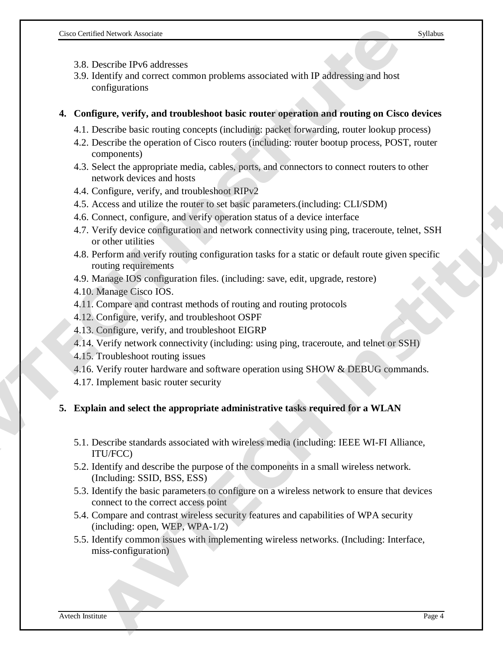- 3.8. Describe IPv6 addresses
- 3.9. Identify and correct common problems associated with IP addressing and host configurations

#### **4. Configure, verify, and troubleshoot basic router operation and routing on Cisco devices**

- 4.1. Describe basic routing concepts (including: packet forwarding, router lookup process)
- 4.2. Describe the operation of Cisco routers (including: router bootup process, POST, router components)
- 4.3. Select the appropriate media, cables, ports, and connectors to connect routers to other network devices and hosts
- 4.4. Configure, verify, and troubleshoot RIPv2
- 4.5. Access and utilize the router to set basic parameters.(including: CLI/SDM)
- 4.6. Connect, configure, and verify operation status of a device interface
- 4.7. Verify device configuration and network connectivity using ping, traceroute, telnet, SSH or other utilities **AVEL Development and Constrained Solution** and the search and the search and the search and configurations<br> **ACTEM SOLUTE ACT ACT** CONSTRIBUTE AND CONSTRIBUTED AND CONSTRIBUTED AT A DESCRET behavior of Cisco muters (inclu λοπίσμου, everify, and troubleshood RIPy2<br>
concess and utility the trouter fo set basic parameters (including: CLLSDM)<br>
correct, configure, and verify operation status of a device interface<br>
rerity device configuration an
	- 4.8. Perform and verify routing configuration tasks for a static or default route given specific routing requirements
	- 4.9. Manage IOS configuration files. (including: save, edit, upgrade, restore)
	- 4.10. Manage Cisco IOS.
	- 4.11. Compare and contrast methods of routing and routing protocols
	- 4.12. Configure, verify, and troubleshoot OSPF
	- 4.13. Configure, verify, and troubleshoot EIGRP
	- 4.14. Verify network connectivity (including: using ping, traceroute, and telnet or SSH)
	- 4.15. Troubleshoot routing issues
	- 4.16. Verify router hardware and software operation using SHOW & DEBUG commands.
	- 4.17. Implement basic router security

#### **5. Explain and select the appropriate administrative tasks required for a WLAN**

- 5.1. Describe standards associated with wireless media (including: IEEE WI-FI Alliance, ITU/FCC)
- 5.2. Identify and describe the purpose of the components in a small wireless network. (Including: SSID, BSS, ESS)
- 5.3. Identify the basic parameters to configure on a wireless network to ensure that devices connect to the correct access point
- 5.4. Compare and contrast wireless security features and capabilities of WPA security (including: open, WEP, WPA-1/2)
- 5.5. Identify common issues with implementing wireless networks. (Including: Interface, miss-configuration)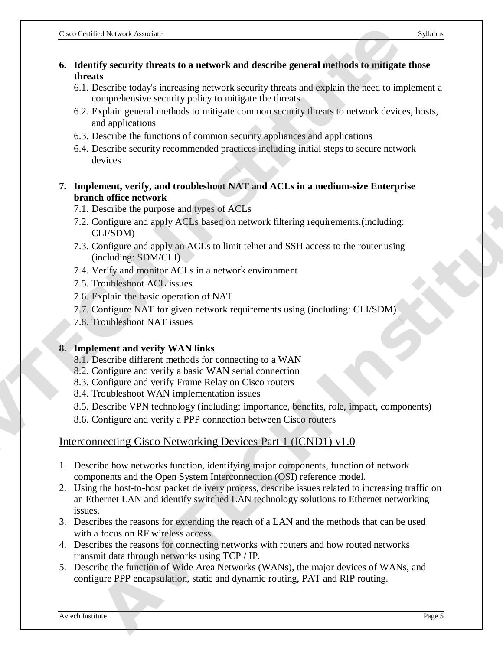- **6. Identify security threats to a network and describe general methods to mitigate those threats** 
	- 6.1. Describe today's increasing network security threats and explain the need to implement a comprehensive security policy to mitigate the threats
	- 6.2. Explain general methods to mitigate common security threats to network devices, hosts, and applications
	- 6.3. Describe the functions of common security appliances and applications
	- 6.4. Describe security recommended practices including initial steps to secure network devices
- **7. Implement, verify, and troubleshoot NAT and ACLs in a medium-size Enterprise branch office network ACTIF (ACT)**<br> **ACTES (ACTIF ACTES)**<br> **ACTES (ACTES)**<br> **ACTES (ACTES)**<br> **ACTES**<br> **ACTES**<br> **ACTES**<br> **ACTES**<br> **ACTES**<br> **ACTES**<br> **ACTES**<br> **ACTES**<br> **ACTES**<br> **ACTES**<br> **ACTES**<br> **ACTES**<br> **ACTES**<br> **ACTES**<br> **ACTES**<br> **ACTES**<br> **ACTES** 
	- 7.1. Describe the purpose and types of ACLs
	- 7.2. Configure and apply ACLs based on network filtering requirements.(including: CLI/SDM)
	- 7.3. Configure and apply an ACLs to limit telnet and SSH access to the router using (including: SDM/CLI)
	- 7.4. Verify and monitor ACLs in a network environment
	- 7.5. Troubleshoot ACL issues
	- 7.6. Explain the basic operation of NAT
	- 7.7. Configure NAT for given network requirements using (including: CLI/SDM)
	- 7.8. Troubleshoot NAT issues

#### **8. Implement and verify WAN links**

- 8.1. Describe different methods for connecting to a WAN
- 8.2. Configure and verify a basic WAN serial connection
- 8.3. Configure and verify Frame Relay on Cisco routers
- 8.4. Troubleshoot WAN implementation issues
- 8.5. Describe VPN technology (including: importance, benefits, role, impact, components)
- 8.6. Configure and verify a PPP connection between Cisco routers

#### Interconnecting Cisco Networking Devices Part 1 (ICND1) v1.0

- 1. Describe how networks function, identifying major components, function of network components and the Open System Interconnection (OSI) reference model.
- 2. Using the host-to-host packet delivery process, describe issues related to increasing traffic on an Ethernet LAN and identify switched LAN technology solutions to Ethernet networking issues. The marge team of the particular stars and Access on a measure-set calle provides<br>absorber the particular dispected and external configure and paper and paper and paper and apply and ACLs to limit telinet and SSII access t
- 3. Describes the reasons for extending the reach of a LAN and the methods that can be used with a focus on RF wireless access.
- 4. Describes the reasons for connecting networks with routers and how routed networks transmit data through networks using TCP / IP.
- 5. Describe the function of Wide Area Networks (WANs), the major devices of WANs, and configure PPP encapsulation, static and dynamic routing, PAT and RIP routing.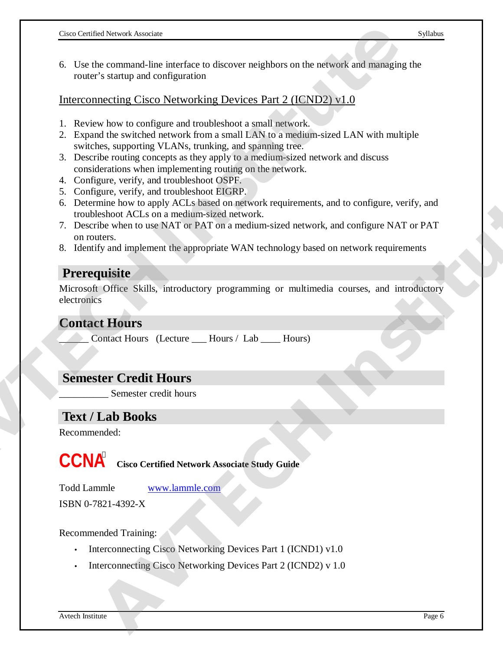6. Use the command-line interface to discover neighbors on the network and managing the router's startup and configuration

Interconnecting Cisco Networking Devices Part 2 (ICND2) v1.0

- 1. Review how to configure and troubleshoot a small network.
- 2. Expand the switched network from a small LAN to a medium-sized LAN with multiple switches, supporting VLANs, trunking, and spanning tree.
- 3. Describe routing concepts as they apply to a medium-sized network and discuss considerations when implementing routing on the network.
- 4. Configure, verify, and troubleshoot OSPF.
- 5. Configure, verify, and troubleshoot EIGRP.
- 6. Determine how to apply ACLs based on network requirements, and to configure, verify, and troubleshoot ACLs on a medium-sized network. **Example 20 AVE the communites of the CNS COLOGER CONSTRANT CONSTRANT CONSTRANT CONSTRANT CONSTRANT CONSTRANT CONSTRANT CONSTRANT CONSTRANT CONSTRANT CONSTRANT CONSTRANT CONSTRANT CONSTRANT CONSTRANT CONSTRANT CONSTRAN** gue, verify, and troubleshoot [E](http://www.lammle.com)lickR<sup>1</sup>, and the one oply ACLs based on network requirements, and to configure, verify, and<br>eshoot ACLs on a medium-sized network.<br>the she is one and the shell of the shell of the shell of t
	- 7. Describe when to use NAT or PAT on a medium-sized network, and configure NAT or PAT on routers.
	- 8. Identify and implement the appropriate WAN technology based on network requirements

#### **Prerequisite**

Microsoft Office Skills, introductory programming or multimedia courses, and introductory electronics

#### **Contact Hours**

Contact Hours (Lecture \_\_\_\_ Hours / Lab \_\_\_\_ Hours)

#### **Semester Credit Hours**

Semester credit hours

# **Text / Lab Books**

Recommended:

**CCNA Cisco Certified Network Associate Study Guide** 

Todd Lammle www.lammle.com

ISBN 0-7821-4392-X

Recommended Training:

- Interconnecting Cisco Networking Devices Part 1 (ICND1) v1.0
- Interconnecting Cisco Networking Devices Part 2 (ICND2) v 1.0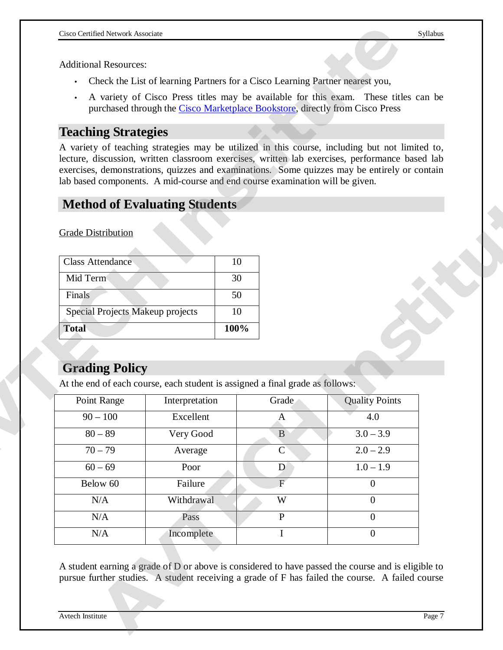- Check the List of learning Partners for a Cisco Learning Partner nearest you,
- A variety of Cisco Press titles may be available for this exam. These titles can be purchased through the Cisco Marketplace Bookstore, directly from Cisco Press

# **Teaching Strategies**

# **Method of Evaluating Students**

| Class Attendance                 | 10   |
|----------------------------------|------|
| Mid Term                         | 30   |
| Finals                           | 50   |
| Special Projects Makeup projects | 10   |
| <b>Total</b>                     | 100% |

# **Grading Policy**

| <b>Additional Resources:</b>                     | Check the List of learning Partners for a Cisco Learning Partner nearest you,                                                                                                                                                                                                                                                                                                    |                |                       |
|--------------------------------------------------|----------------------------------------------------------------------------------------------------------------------------------------------------------------------------------------------------------------------------------------------------------------------------------------------------------------------------------------------------------------------------------|----------------|-----------------------|
|                                                  |                                                                                                                                                                                                                                                                                                                                                                                  |                |                       |
|                                                  |                                                                                                                                                                                                                                                                                                                                                                                  |                |                       |
|                                                  | A variety of Cisco Press titles may be available for this exam. These titles can be<br>purchased through the Cisco Marketplace Bookstore, directly from Cisco Press                                                                                                                                                                                                              |                |                       |
| <b>Teaching Strategies</b>                       |                                                                                                                                                                                                                                                                                                                                                                                  |                |                       |
|                                                  | A variety of teaching strategies may be utilized in this course, including but not limited to,<br>lecture, discussion, written classroom exercises, written lab exercises, performance based lab<br>exercises, demonstrations, quizzes and examinations. Some quizzes may be entirely or contain<br>lab based components. A mid-course and end course examination will be given. |                |                       |
|                                                  | <b>Method of Evaluating Students</b>                                                                                                                                                                                                                                                                                                                                             |                |                       |
| <b>Grade Distribution</b>                        |                                                                                                                                                                                                                                                                                                                                                                                  |                |                       |
| <b>Class Attendance</b>                          | 10                                                                                                                                                                                                                                                                                                                                                                               |                |                       |
|                                                  |                                                                                                                                                                                                                                                                                                                                                                                  |                |                       |
| Mid Term                                         | 30                                                                                                                                                                                                                                                                                                                                                                               |                |                       |
| Finals                                           | 50                                                                                                                                                                                                                                                                                                                                                                               |                |                       |
| Special Projects Makeup projects<br><b>Total</b> | 10<br>100%                                                                                                                                                                                                                                                                                                                                                                       |                |                       |
| <b>Grading Policy</b>                            | At the end of each course, each student is assigned a final grade as follows:                                                                                                                                                                                                                                                                                                    |                |                       |
| Point Range                                      | Interpretation                                                                                                                                                                                                                                                                                                                                                                   | Grade          | <b>Ouality Points</b> |
| $90 - 100$                                       | Excellent                                                                                                                                                                                                                                                                                                                                                                        | $\mathbf{A}$   | 4.0                   |
| $80 - 89$                                        | Very Good                                                                                                                                                                                                                                                                                                                                                                        | $\mathbf{B}$   | $3.0 - 3.9$           |
| $70 - 79$                                        | Average                                                                                                                                                                                                                                                                                                                                                                          | $\mathbf{C}$   | $2.0 - 2.9$           |
| $60 - 69$                                        | Poor                                                                                                                                                                                                                                                                                                                                                                             | $\mathbf{D}$   | $1.0 - 1.9$           |
| Below 60                                         | Failure                                                                                                                                                                                                                                                                                                                                                                          | $\overline{F}$ | $\overline{0}$        |
| N/A                                              | Withdrawal                                                                                                                                                                                                                                                                                                                                                                       | W              | $\overline{0}$        |
| N/A                                              | Pass                                                                                                                                                                                                                                                                                                                                                                             | $\mathbf{P}$   | $\overline{0}$        |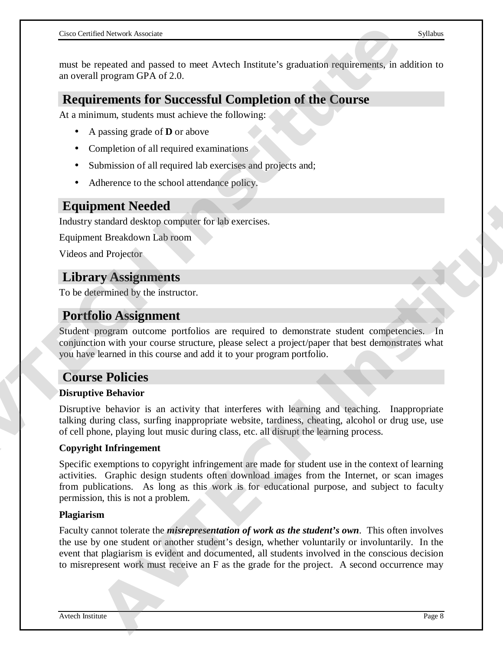must be repeated and passed to meet Avtech Institute's graduation requirements, in addition to an overall program GPA of 2.0.

# **Requirements for Successful Completion of the Course**

At a minimum, students must achieve the following:

- A passing grade of **D** or above
- Completion of all required examinations
- Submission of all required lab exercises and projects and;
- Adherence to the school attendance policy.

# **Equipment Needed**

Industry standard desktop computer for lab exercises.

Equipment Breakdown Lab room

Videos and Projector

# **Library Assignments**

To be determined by the instructor.

# **Portfolio Assignment**

Student program outcome portfolios are required to demonstrate student competencies. In conjunction with your course structure, please select a project/paper that best demonstrates what you have learned in this course and add it to your program portfolio.

# **Course Policies**

#### **Disruptive Behavior**

Disruptive behavior is an activity that interferes with learning and teaching. Inappropriate talking during class, surfing inappropriate website, tardiness, cheating, alcohol or drug use, use of cell phone, playing lout music during class, etc. all disrupt the learning process. **AND THE SET CONSIDERATION** IS a metallical strainer of the Course of the content of the Course<br>
AT overall program GPA of 2.0.<br> **ACQUITEMENT SET CONSIDE COMPLETION OF the COURSE**<br>
AT a minimum, students must achieve the f

#### **Copyright Infringement**

Specific exemptions to copyright infringement are made for student use in the context of learning activities. Graphic design students often download images from the Internet, or scan images from publications. As long as this work is for educational purpose, and subject to faculty permission, this is not a problem.

#### **Plagiarism**

Faculty cannot tolerate the *misrepresentation of work as the student's own*. This often involves the use by one student or another student's design, whether voluntarily or involuntarily. In the event that plagiarism is evident and documented, all students involved in the conscious decision to misrepresent work must receive an F as the grade for the project. A second occurrence may **AND THE SECTION CONSULTERATIVE CONSULTERATIVE ACCESS**<br> **AWALUSE CONSULTERATIVE ASSEMINATES**<br> **AVELOT ASSEMINATES**<br> **AND ASSEMINATES**<br> **AND ASSEMINATES**<br> **AND THE SYSTEM CONSULTERATIVE CONSULTERATIVE CONSULTERATIVE CONSU**